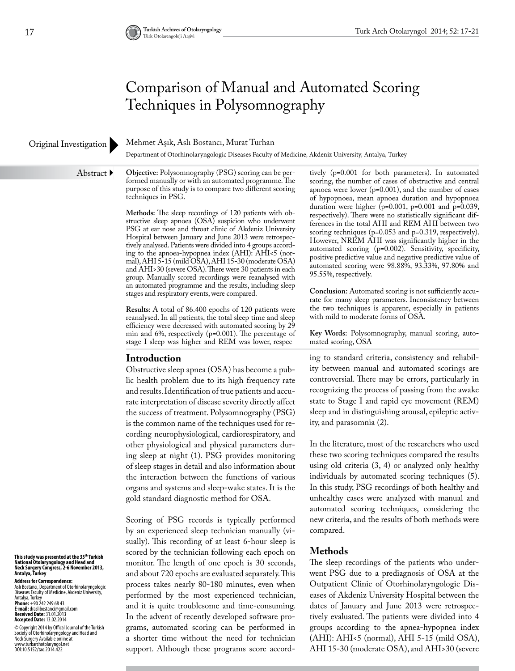# Comparison of Manual and Automated Scoring Techniques in Polysomnography

#### Original Investigation

#### Mehmet Aşık, Aslı Bostancı, Murat Turhan

Department of Otorhinolaryngologic Diseases Faculty of Medicine, Akdeniz University, Antalya, Turkey

Abstract ▶

**Objective:** Polysomnography (PSG) scoring can be performed manually or with an automated programme. The purpose of this study is to compare two different scoring techniques in PSG.

**Methods:** The sleep recordings of 120 patients with obstructive sleep apnoea (OSA) suspicion who underwent PSG at ear nose and throat clinic of Akdeniz University Hospital between January and June 2013 were retrospectively analysed. Patients were divided into 4 groups according to the apnoea-hypopnea index (AHI): AHI<5 (normal), AHI 5-15 (mild OSA), AHI 15-30 (moderate OSA) and AHI>30 (severe OSA). There were 30 patients in each group. Manually scored recordings were reanalysed with an automated programme and the results, including sleep stages and respiratory events, were compared.

**Results:** A total of 86.400 epochs of 120 patients were reanalysed. In all patients, the total sleep time and sleep efficiency were decreased with automated scoring by 29 min and 6%, respectively (p=0.001). The percentage of stage I sleep was higher and REM was lower, respec-

#### **Introduction**

Obstructive sleep apnea (OSA) has become a public health problem due to its high frequency rate and results. Identification of true patients and accurate interpretation of disease severity directly affect the success of treatment. Polysomnography (PSG) is the common name of the techniques used for recording neurophysiological, cardiorespiratory, and other physiological and physical parameters during sleep at night (1). PSG provides monitoring of sleep stages in detail and also information about the interaction between the functions of various organs and systems and sleep-wake states. It is the gold standard diagnostic method for OSA.

Scoring of PSG records is typically performed by an experienced sleep technician manually (visually). This recording of at least 6-hour sleep is scored by the technician following each epoch on monitor. The length of one epoch is 30 seconds, and about 720 epochs are evaluated separately. This process takes nearly 80-180 minutes, even when performed by the most experienced technician, and it is quite troublesome and time-consuming. In the advent of recently developed software programs, automated scoring can be performed in a shorter time without the need for technician support. Although these programs score accordtively (p=0.001 for both parameters). In automated scoring, the number of cases of obstructive and central apnoea were lower (p=0.001), and the number of cases of hypopnoea, mean apnoea duration and hypopnoea duration were higher (p=0.001, p=0.001 and p=0.039, respectively). There were no statistically significant differences in the total AHI and REM AHI between two scoring techniques (p=0.053 and p=0.319, respectively). However, NREM AHI was significantly higher in the automated scoring (p=0.002). Sensitivity, specificity, positive predictive value and negative predictive value of automated scoring were 98.88%, 93.33%, 97.80% and 95.55%, respectively.

**Conclusion:** Automated scoring is not sufficiently accurate for many sleep parameters. Inconsistency between the two techniques is apparent, especially in patients with mild to moderate forms of OSA.

**Key Words:** Polysomnography, manual scoring, automated scoring, OSA

ing to standard criteria, consistency and reliability between manual and automated scorings are controversial. There may be errors, particularly in recognizing the process of passing from the awake state to Stage I and rapid eye movement (REM) sleep and in distinguishing arousal, epileptic activity, and parasomnia (2).

In the literature, most of the researchers who used these two scoring techniques compared the results using old criteria (3, 4) or analyzed only healthy individuals by automated scoring techniques (5). In this study, PSG recordings of both healthy and unhealthy cases were analyzed with manual and automated scoring techniques, considering the new criteria, and the results of both methods were compared.

#### **Methods**

The sleep recordings of the patients who underwent PSG due to a prediagnosis of OSA at the Outpatient Clinic of Otorhinolaryngologic Diseases of Akdeniz University Hospital between the dates of January and June 2013 were retrospectively evaluated. The patients were divided into 4 groups according to the apnea-hypopnea index (AHI): AHI<5 (normal), AHI 5-15 (mild OSA), AHI 15-30 (moderate OSA), and AHI>30 (severe

**This study was presented at the 35th Turkish National Otolaryngology and Head and Neck Surgery Congress, 2-6 November 2013, Antalya, Turkey**

**Address for Correspondence:**  Aslı Bostancı, Department of Otorhinolaryngologic Diseases Faculty of Medicine, Akdeniz University, Antalya, Turkey<sup>.</sup><br>**Phone:** +90 242 249 68 43<br>**E-mail:** draslibostanci@gmail.com

**Received Date:** 31.01.2013 **Accepted Date:** 13.02.2014 © Copyright 2014 by Offical Journal of the Turkish<br>Neckety of Otorhinolaryngology and Head and<br>Neck Surgery Available online at<br>www.turkarchotolaryngol.net<br>DOI:10.5152/tao.2014.422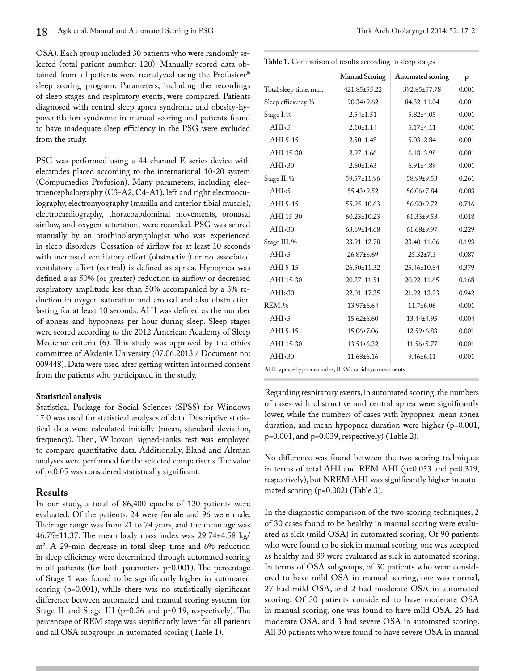OSA). Each group included 30 patients who were randomly selected (total patient number: 120). Manually scored data obtained from all patients were reanalyzed using the Profusion® sleep scoring program. Parameters, including the recordings of sleep stages and respiratory events, were compared. Patients diagnosed with central sleep apnea syndrome and obesity-hypoventilation syndrome in manual scoring and patients found to have inadequate sleep efficiency in the PSG were excluded from the study.

PSG was performed using a 44-channel E-series device with electrodes placed according to the international 10-20 system (Compumedics Profusion). Many parameters, including electroencephalography (C3-A2, C4-A1), left and right electrooculography, electromyography (maxilla and anterior tibial muscle), electrocardiography, thoracoabdominal movements, oronasal airflow, and oxygen saturation, were recorded. PSG was scored manually by an otorhinolaryngologist who was experienced in sleep disorders. Cessation of airflow for at least 10 seconds with increased ventilatory effort (obstructive) or no associated ventilatory effort (central) is defined as apnea. Hypopnea was defined a as 50% (or greater) reduction in airflow or decreased respiratory amplitude less than 50% accompanied by a 3% reduction in oxygen saturation and arousal and also obstruction lasting for at least 10 seconds. AHI was defined as the number of apneas and hypopneas per hour during sleep. Sleep stages were scored according to the 2012 American Academy of Sleep Medicine criteria (6). This study was approved by the ethics committee of Akdeniz University (07.06.2013 / Document no: 009448). Data were used after getting written informed consent from the patients who participated in the study.

#### **Statistical analysis**

Statistical Package for Social Sciences (SPSS) for Windows 17.0 was used for statistical analyses of data. Descriptive statistical data were calculated initially (mean, standard deviation, frequency). Then, Wilcoxon signed-ranks test was employed to compare quantitative data. Additionally, Bland and Altman analyses were performed for the selected comparisons. The value of p<0.05 was considered statistically significant.

#### **Results**

In our study, a total of 86,400 epochs of 120 patients were evaluated. Of the patients, 24 were female and 96 were male. Their age range was from 21 to 74 years, and the mean age was 46.75±11.37. The mean body mass index was 29.74±4.58 kg/ m2 . A 29-min decrease in total sleep time and 6% reduction in sleep efficiency were determined through automated scoring in all patients (for both parameters p=0.001). The percentage of Stage 1 was found to be significantly higher in automated scoring (p=0.001), while there was no statistically significant difference between automated and manual scoring systems for Stage II and Stage III (p=0.26 and p=0.19, respectively). The percentage of REM stage was significantly lower for all patients and all OSA subgroups in automated scoring (Table 1).

| Table 1. Comparison of results according to sleep stages |
|----------------------------------------------------------|
|                                                          |

|                        | <b>Manual Scoring</b> | <b>Automated scoring</b> | p     |
|------------------------|-----------------------|--------------------------|-------|
| Total sleep time. min. | 421.85±55.22          | 392.85±57.78             | 0.001 |
| Sleep efficiency. %    | $90.34 \pm 9.62$      | 84.32±11.04              | 0.001 |
| Stage I.%              | $2.54 \pm 1.51$       | $5.82{\pm}4.05$          | 0.001 |
| AHI <sub>5</sub>       | $2.10 \pm 1.14$       | $5.17 \pm 4.11$          | 0.001 |
| AHI 5-15               | $2.50 \pm 1.48$       | $5.03 \pm 2.84$          | 0.001 |
| AHI 15-30              | $2.97 \pm 1.66$       | $6.18 \pm 3.98$          | 0.001 |
| AHI > 30               | $2.60 \pm 1.63$       | $6.91 \pm 4.89$          | 0.001 |
| Stage II.%             | 59.57±11.96           | $58.99 \pm 9.53$         | 0.261 |
| AHI <sub>5</sub>       | 55.43±9.52            | 56.06±7.84               | 0.003 |
| AHI 5-15               | $55.95 \pm 10.63$     | 56.90±9.72               | 0.716 |
| AHI 15-30              | $60.23 \pm 10.23$     | $61.33 \pm 9.53$         | 0.018 |
| AHI>30                 | 63.69±14.68           | $61.68 + 9.97$           | 0.229 |
| Stage III.%            | 23.91±12.78           | 23.40±11.06              | 0.193 |
| AHI <sub>5</sub>       | $26.87 \pm 8.69$      | $25.32 \pm 7.3$          | 0.087 |
| AHI 5-15               | 26.50±11.32           | 25.46±10.84              | 0.379 |
| AHI 15-30              | 20.27±11.51           | 20.92±11.65              | 0.168 |
| AHI > 30               | 22.01±17.35           | 21.92±13.23              | 0.942 |
| <b>REM.%</b>           | $13.97 \pm 6.64$      | $11.7+6.06$              | 0.001 |
| AHI <sub>5</sub>       | $15.62 \pm 6.60$      | 13.44±4.95               | 0.004 |
| AHI 5-15               | $15.06 \pm 7.06$      | $12.59 \pm 6.83$         | 0.001 |
| AHI 15-30              | $13.51 \pm 6.32$      | $11.56 \pm 5.77$         | 0.001 |
| AHI > 30               | 11.68±6.16            | $9.46 \pm 6.11$          | 0.001 |

AHI: apnea-hypopnea index; REM: rapid eye movements

Regarding respiratory events, in automated scoring, the numbers of cases with obstructive and central apnea were significantly lower, while the numbers of cases with hypopnea, mean apnea duration, and mean hypopnea duration were higher (p=0.001, p=0.001, and p=0.039, respectively) (Table 2).

No difference was found between the two scoring techniques in terms of total AHI and REM AHI (p=0.053 and p=0.319, respectively), but NREM AHI was significantly higher in automated scoring (p=0.002) (Table 3).

In the diagnostic comparison of the two scoring techniques, 2 of 30 cases found to be healthy in manual scoring were evaluated as sick (mild OSA) in automated scoring. Of 90 patients who were found to be sick in manual scoring, one was accepted as healthy and 89 were evaluated as sick in automated scoring. In terms of OSA subgroups, of 30 patients who were considered to have mild OSA in manual scoring, one was normal, 27 had mild OSA, and 2 had moderate OSA in automated scoring. Of 30 patients considered to have moderate OSA in manual scoring, one was found to have mild OSA, 26 had moderate OSA, and 3 had severe OSA in automated scoring. All 30 patients who were found to have severe OSA in manual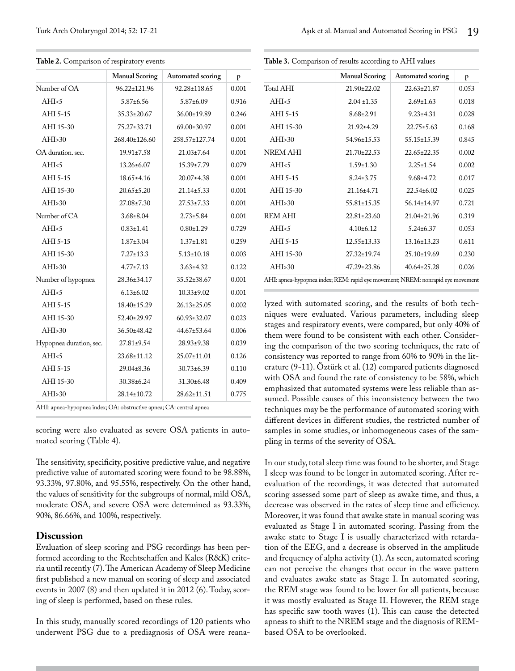|                         | <b>Manual Scoring</b> | Automated scoring | p     |  |
|-------------------------|-----------------------|-------------------|-------|--|
| Number of OA            | $96.22 \pm 121.96$    | 92.28±118.65      | 0.001 |  |
| AHI <sub>5</sub>        | $5.87 \pm 6.56$       | $5.87 \pm 6.09$   | 0.916 |  |
| AHI 5-15                | $35.33 \pm 20.67$     | 36.00±19.89       | 0.246 |  |
| AHI 15-30               | 75.27±33.71           | 69.00±30.97       | 0.001 |  |
| AHI > 30                | 268.40±126.60         | 258.57±127.74     | 0.001 |  |
| OA duration, sec.       | $19.91 \pm 7.58$      | $21.03 \pm 7.64$  | 0.001 |  |
| AHI <sub>5</sub>        | $13.26 \pm 6.07$      | $15.39 \pm 7.79$  | 0.079 |  |
| AHI 5-15                | $18.65 \pm 4.16$      | $20.07 \pm 4.38$  | 0.001 |  |
| AHI 15-30               | $20.65 \pm 5.20$      | $21.14 \pm 5.33$  | 0.001 |  |
| AHI>30                  | $27.08 \pm 7.30$      | $27.53 \pm 7.33$  | 0.001 |  |
| Number of CA            | $3.68 \pm 8.04$       | $2.73 \pm 5.84$   | 0.001 |  |
| AHI <sub>5</sub>        | $0.83 \pm 1.41$       | $0.80 \pm 1.29$   | 0.729 |  |
| AHI 5-15                | $1.87 \pm 3.04$       | $1.37 \pm 1.81$   | 0.259 |  |
| AHI 15-30               | $7.27 \pm 13.3$       | $5.13 \pm 10.18$  | 0.003 |  |
| AHI > 30                | $4.77 \pm 7.13$       | $3.63 \pm 4.32$   | 0.122 |  |
| Number of hypopnea      | 28.36±34.17           | 35.52±38.67       | 0.001 |  |
| AHI <sub>5</sub>        | $6.13 \pm 6.02$       | $10.33 \pm 9.02$  | 0.001 |  |
| AHI 5-15                | 18.40±15.29           | $26.13 \pm 25.05$ | 0.002 |  |
| AHI 15-30               | 52.40±29.97           | 60.93±32.07       | 0.023 |  |
| AHI <sub>&gt;30</sub>   | 36.50±48.42           | 44.67±53.64       | 0.006 |  |
| Hypopnea duration, sec. | $27.81 \pm 9.54$      | 28.93±9.38        | 0.039 |  |
| AHI <sub>5</sub>        | 23.68±11.12           | 25.07±11.01       | 0.126 |  |
| AHI 5-15                | $29.04 \pm 8.36$      | $30.73 \pm 6.39$  | 0.110 |  |
| AHI 15-30               | 30.38±6.24            | 31.30±6.48        | 0.409 |  |
| AHI > 30                | 28.14±10.72           | 28.62±11.51       | 0.775 |  |

**Table 2.** Comparison of respiratory events

AHI: apnea-hypopnea index; OA: obstructive apnea; CA: central apnea

scoring were also evaluated as severe OSA patients in automated scoring (Table 4).

The sensitivity, specificity, positive predictive value, and negative predictive value of automated scoring were found to be 98.88%, 93.33%, 97.80%, and 95.55%, respectively. On the other hand, the values of sensitivity for the subgroups of normal, mild OSA, moderate OSA, and severe OSA were determined as 93.33%, 90%, 86.66%, and 100%, respectively.

#### **Discussion**

Evaluation of sleep scoring and PSG recordings has been performed according to the Rechtschaffen and Kales (R&K) criteria until recently (7). The American Academy of Sleep Medicine first published a new manual on scoring of sleep and associated events in 2007 (8) and then updated it in 2012 (6). Today, scoring of sleep is performed, based on these rules.

In this study, manually scored recordings of 120 patients who underwent PSG due to a prediagnosis of OSA were reana-

|                  | <b>Manual Scoring</b> | Automated scoring | p     |  |
|------------------|-----------------------|-------------------|-------|--|
| <b>Total AHI</b> | 21.90±22.02           | $22.63 \pm 21.87$ | 0.053 |  |
| AHI <sub>5</sub> | $2.04 \pm 1.35$       | $2.69 \pm 1.63$   | 0.018 |  |
| AHI 5-15         | $8.68 \pm 2.91$       | $9.23 \pm 4.31$   | 0.028 |  |
| AHI 15-30        | $21.92 \pm 4.29$      | $22.75 \pm 5.63$  | 0.168 |  |
| AHI > 30         | 54.96±15.53           | $55.15 \pm 15.39$ | 0.845 |  |
| <b>NREM AHI</b>  | $21.70 \pm 22.53$     | $22.65 \pm 22.35$ | 0.002 |  |
| AHI <sub>5</sub> | $1.59 \pm 1.30$       | $2.25 \pm 1.54$   | 0.002 |  |
| AHI 5-15         | $8.24 \pm 3.75$       | $9.68 \pm 4.72$   | 0.017 |  |
| AHI 15-30        | $21.16 \pm 4.71$      | $22.54 \pm 6.02$  | 0.025 |  |
| AHI > 30         | $55.81 \pm 15.35$     | $56.14 \pm 14.97$ | 0.721 |  |
| <b>REM AHI</b>   | $22.81 \pm 23.60$     | $21.04 \pm 21.96$ | 0.319 |  |
| AHI <sub>5</sub> | $4.10\pm 6.12$        | $5.24 \pm 6.37$   | 0.053 |  |
| AHI 5-15         | $12.55 \pm 13.33$     | 13.16±13.23       | 0.611 |  |
| AHI 15-30        | $27.32 \pm 19.74$     | $25.10 \pm 19.69$ | 0.230 |  |
| AHI > 30         | 47.29±23.86           | $40.64 \pm 25.28$ | 0.026 |  |

**Table 3.** Comparison of results according to AHI values

lyzed with automated scoring, and the results of both techniques were evaluated. Various parameters, including sleep stages and respiratory events, were compared, but only 40% of them were found to be consistent with each other. Considering the comparison of the two scoring techniques, the rate of consistency was reported to range from 60% to 90% in the literature (9-11). Öztürk et al. (12) compared patients diagnosed with OSA and found the rate of consistency to be 58%, which emphasized that automated systems were less reliable than assumed. Possible causes of this inconsistency between the two techniques may be the performance of automated scoring with different devices in different studies, the restricted number of samples in some studies, or inhomogeneous cases of the sampling in terms of the severity of OSA.

In our study, total sleep time was found to be shorter, and Stage I sleep was found to be longer in automated scoring. After reevaluation of the recordings, it was detected that automated scoring assessed some part of sleep as awake time, and thus, a decrease was observed in the rates of sleep time and efficiency. Moreover, it was found that awake state in manual scoring was evaluated as Stage I in automated scoring. Passing from the awake state to Stage I is usually characterized with retardation of the EEG, and a decrease is observed in the amplitude and frequency of alpha activity (1). As seen, automated scoring can not perceive the changes that occur in the wave pattern and evaluates awake state as Stage I. In automated scoring, the REM stage was found to be lower for all patients, because it was mostly evaluated as Stage II. However, the REM stage has specific saw tooth waves (1). This can cause the detected apneas to shift to the NREM stage and the diagnosis of REMbased OSA to be overlooked.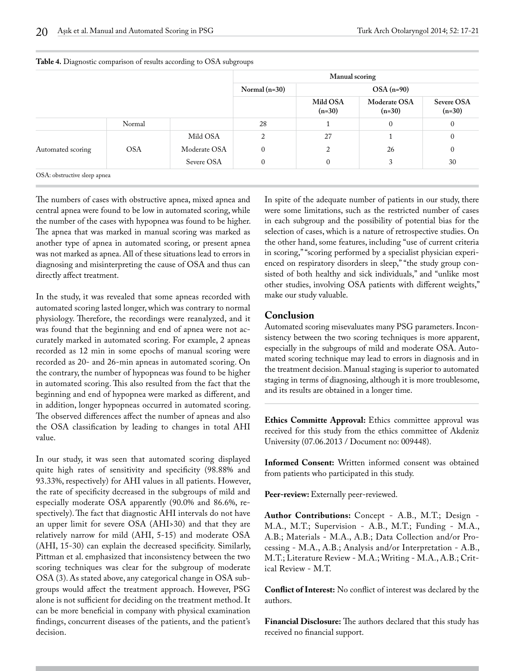|                   |            |              | Manual scoring  |                      |                          |                        |
|-------------------|------------|--------------|-----------------|----------------------|--------------------------|------------------------|
|                   |            |              | Normal $(n=30)$ | $OSA(n=90)$          |                          |                        |
|                   |            |              |                 | Mild OSA<br>$(n=30)$ | Moderate OSA<br>$(n=30)$ | Severe OSA<br>$(n=30)$ |
|                   | Normal     |              | 28              |                      | $\mathbf{0}$             | $\mathbf{0}$           |
|                   |            | Mild OSA     | 2               | 27                   |                          | $\mathbf{0}$           |
| Automated scoring | <b>OSA</b> | Moderate OSA | $\mathbf{0}$    | 2                    | 26                       | $\mathbf{0}$           |
|                   |            | Severe OSA   | $\mathbf{0}$    | $\mathbf{0}$         | 3                        | 30                     |

#### **Table 4.** Diagnostic comparison of results according to OSA subgroups

The numbers of cases with obstructive apnea, mixed apnea and central apnea were found to be low in automated scoring, while the number of the cases with hypopnea was found to be higher. The apnea that was marked in manual scoring was marked as another type of apnea in automated scoring, or present apnea was not marked as apnea. All of these situations lead to errors in diagnosing and misinterpreting the cause of OSA and thus can directly affect treatment.

In the study, it was revealed that some apneas recorded with automated scoring lasted longer, which was contrary to normal physiology. Therefore, the recordings were reanalyzed, and it was found that the beginning and end of apnea were not accurately marked in automated scoring. For example, 2 apneas recorded as 12 min in some epochs of manual scoring were recorded as 20- and 26-min apneas in automated scoring. On the contrary, the number of hypopneas was found to be higher in automated scoring. This also resulted from the fact that the beginning and end of hypopnea were marked as different, and in addition, longer hypopneas occurred in automated scoring. The observed differences affect the number of apneas and also the OSA classification by leading to changes in total AHI value.

In our study, it was seen that automated scoring displayed quite high rates of sensitivity and specificity (98.88% and 93.33%, respectively) for AHI values in all patients. However, the rate of specificity decreased in the subgroups of mild and especially moderate OSA apparently (90.0% and 86.6%, respectively). The fact that diagnostic AHI intervals do not have an upper limit for severe OSA (AHI>30) and that they are relatively narrow for mild (AHI, 5-15) and moderate OSA (AHI, 15-30) can explain the decreased specificity. Similarly, Pittman et al. emphasized that inconsistency between the two scoring techniques was clear for the subgroup of moderate OSA (3). As stated above, any categorical change in OSA subgroups would affect the treatment approach. However, PSG alone is not sufficient for deciding on the treatment method. It can be more beneficial in company with physical examination findings, concurrent diseases of the patients, and the patient's decision.

In spite of the adequate number of patients in our study, there were some limitations, such as the restricted number of cases in each subgroup and the possibility of potential bias for the selection of cases, which is a nature of retrospective studies. On the other hand, some features, including "use of current criteria in scoring," "scoring performed by a specialist physician experienced on respiratory disorders in sleep," "the study group consisted of both healthy and sick individuals," and "unlike most other studies, involving OSA patients with different weights," make our study valuable.

### **Conclusion**

Automated scoring misevaluates many PSG parameters. Inconsistency between the two scoring techniques is more apparent, especially in the subgroups of mild and moderate OSA. Automated scoring technique may lead to errors in diagnosis and in the treatment decision. Manual staging is superior to automated staging in terms of diagnosing, although it is more troublesome, and its results are obtained in a longer time.

**Ethics Committe Approval:** Ethics committee approval was received for this study from the ethics committee of Akdeniz University (07.06.2013 / Document no: 009448).

**Informed Consent:** Written informed consent was obtained from patients who participated in this study.

Peer-review: Externally peer-reviewed.

**Author Contributions:** Concept - A.B., M.T.; Design - M.A., M.T.; Supervision - A.B., M.T.; Funding - M.A., A.B.; Materials - M.A., A.B.; Data Collection and/or Processing - M.A., A.B.; Analysis and/or Interpretation - A.B., M.T.; Literature Review - M.A.; Writing - M.A., A.B.; Critical Review - M.T.

**Conflict of Interest:** No conflict of interest was declared by the authors.

**Financial Disclosure:** The authors declared that this study has received no financial support.